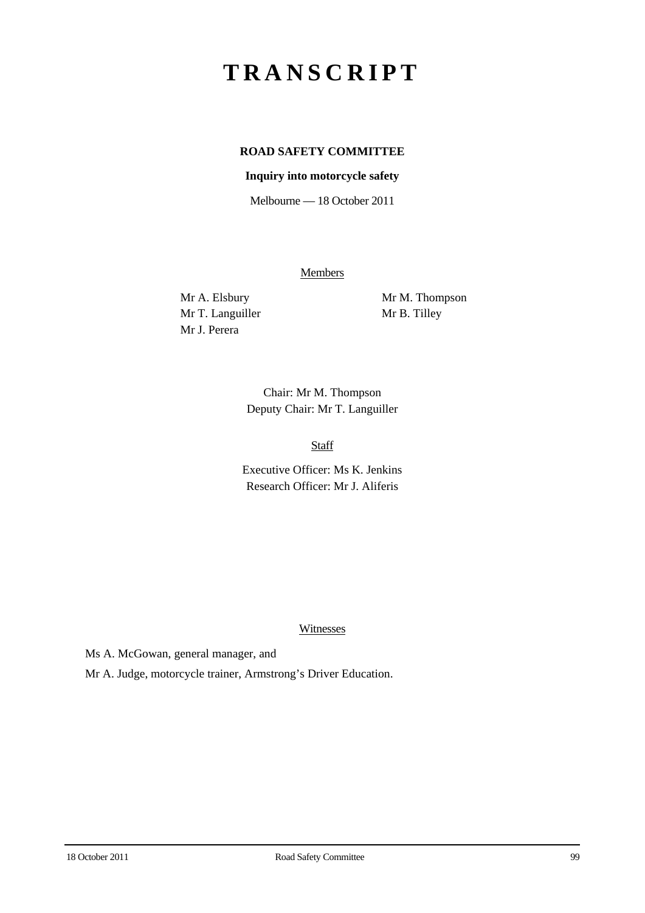# **TRANSCRIPT**

## **ROAD SAFETY COMMITTEE**

### **Inquiry into motorcycle safety**

Melbourne — 18 October 2011

**Members** 

Mr T. Languiller Mr B. Tilley Mr J. Perera

Mr A. Elsbury Mr M. Thompson

Chair: Mr M. Thompson Deputy Chair: Mr T. Languiller

Staff

Executive Officer: Ms K. Jenkins Research Officer: Mr J. Aliferis

Witnesses

Ms A. McGowan, general manager, and

Mr A. Judge, motorcycle trainer, Armstrong's Driver Education.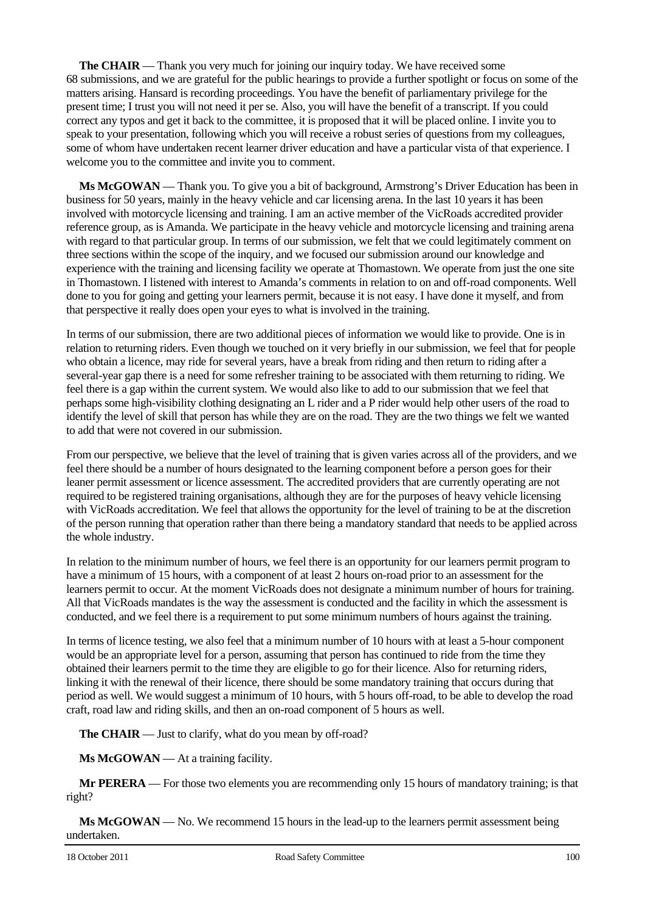**The CHAIR** — Thank you very much for joining our inquiry today. We have received some 68 submissions, and we are grateful for the public hearings to provide a further spotlight or focus on some of the matters arising. Hansard is recording proceedings. You have the benefit of parliamentary privilege for the present time; I trust you will not need it per se. Also, you will have the benefit of a transcript. If you could correct any typos and get it back to the committee, it is proposed that it will be placed online. I invite you to speak to your presentation, following which you will receive a robust series of questions from my colleagues, some of whom have undertaken recent learner driver education and have a particular vista of that experience. I welcome you to the committee and invite you to comment.

**Ms McGOWAN** — Thank you. To give you a bit of background, Armstrong's Driver Education has been in business for 50 years, mainly in the heavy vehicle and car licensing arena. In the last 10 years it has been involved with motorcycle licensing and training. I am an active member of the VicRoads accredited provider reference group, as is Amanda. We participate in the heavy vehicle and motorcycle licensing and training arena with regard to that particular group. In terms of our submission, we felt that we could legitimately comment on three sections within the scope of the inquiry, and we focused our submission around our knowledge and experience with the training and licensing facility we operate at Thomastown. We operate from just the one site in Thomastown. I listened with interest to Amanda's comments in relation to on and off-road components. Well done to you for going and getting your learners permit, because it is not easy. I have done it myself, and from that perspective it really does open your eyes to what is involved in the training.

In terms of our submission, there are two additional pieces of information we would like to provide. One is in relation to returning riders. Even though we touched on it very briefly in our submission, we feel that for people who obtain a licence, may ride for several years, have a break from riding and then return to riding after a several-year gap there is a need for some refresher training to be associated with them returning to riding. We feel there is a gap within the current system. We would also like to add to our submission that we feel that perhaps some high-visibility clothing designating an L rider and a P rider would help other users of the road to identify the level of skill that person has while they are on the road. They are the two things we felt we wanted to add that were not covered in our submission.

From our perspective, we believe that the level of training that is given varies across all of the providers, and we feel there should be a number of hours designated to the learning component before a person goes for their leaner permit assessment or licence assessment. The accredited providers that are currently operating are not required to be registered training organisations, although they are for the purposes of heavy vehicle licensing with VicRoads accreditation. We feel that allows the opportunity for the level of training to be at the discretion of the person running that operation rather than there being a mandatory standard that needs to be applied across the whole industry.

In relation to the minimum number of hours, we feel there is an opportunity for our learners permit program to have a minimum of 15 hours, with a component of at least 2 hours on-road prior to an assessment for the learners permit to occur. At the moment VicRoads does not designate a minimum number of hours for training. All that VicRoads mandates is the way the assessment is conducted and the facility in which the assessment is conducted, and we feel there is a requirement to put some minimum numbers of hours against the training.

In terms of licence testing, we also feel that a minimum number of 10 hours with at least a 5-hour component would be an appropriate level for a person, assuming that person has continued to ride from the time they obtained their learners permit to the time they are eligible to go for their licence. Also for returning riders, linking it with the renewal of their licence, there should be some mandatory training that occurs during that period as well. We would suggest a minimum of 10 hours, with 5 hours off-road, to be able to develop the road craft, road law and riding skills, and then an on-road component of 5 hours as well.

**The CHAIR** — Just to clarify, what do you mean by off-road?

**Ms McGOWAN** — At a training facility.

**Mr PERERA** — For those two elements you are recommending only 15 hours of mandatory training; is that right?

**Ms McGOWAN** — No. We recommend 15 hours in the lead-up to the learners permit assessment being undertaken.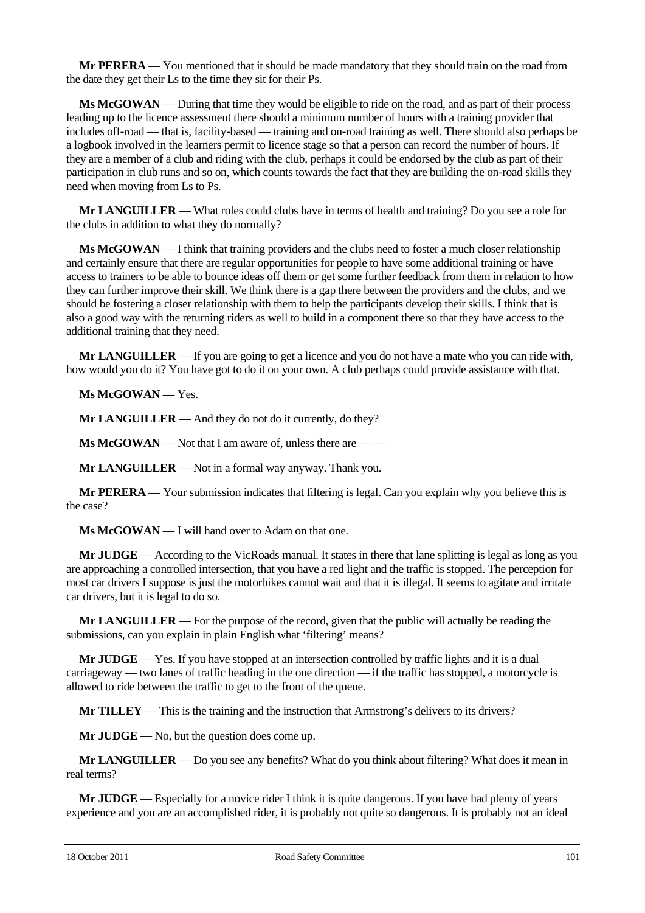**Mr PERERA** — You mentioned that it should be made mandatory that they should train on the road from the date they get their Ls to the time they sit for their Ps.

**Ms McGOWAN** — During that time they would be eligible to ride on the road, and as part of their process leading up to the licence assessment there should a minimum number of hours with a training provider that includes off-road — that is, facility-based — training and on-road training as well. There should also perhaps be a logbook involved in the learners permit to licence stage so that a person can record the number of hours. If they are a member of a club and riding with the club, perhaps it could be endorsed by the club as part of their participation in club runs and so on, which counts towards the fact that they are building the on-road skills they need when moving from Ls to Ps.

**Mr LANGUILLER** — What roles could clubs have in terms of health and training? Do you see a role for the clubs in addition to what they do normally?

**Ms McGOWAN** — I think that training providers and the clubs need to foster a much closer relationship and certainly ensure that there are regular opportunities for people to have some additional training or have access to trainers to be able to bounce ideas off them or get some further feedback from them in relation to how they can further improve their skill. We think there is a gap there between the providers and the clubs, and we should be fostering a closer relationship with them to help the participants develop their skills. I think that is also a good way with the returning riders as well to build in a component there so that they have access to the additional training that they need.

**Mr LANGUILLER** — If you are going to get a licence and you do not have a mate who you can ride with, how would you do it? You have got to do it on your own. A club perhaps could provide assistance with that.

**Ms McGOWAN** — Yes.

**Mr LANGUILLER** — And they do not do it currently, do they?

**Ms McGOWAN** — Not that I am aware of, unless there are — —

**Mr LANGUILLER** — Not in a formal way anyway. Thank you.

**Mr PERERA** — Your submission indicates that filtering is legal. Can you explain why you believe this is the case?

**Ms McGOWAN** — I will hand over to Adam on that one.

**Mr JUDGE** — According to the VicRoads manual. It states in there that lane splitting is legal as long as you are approaching a controlled intersection, that you have a red light and the traffic is stopped. The perception for most car drivers I suppose is just the motorbikes cannot wait and that it is illegal. It seems to agitate and irritate car drivers, but it is legal to do so.

**Mr LANGUILLER** — For the purpose of the record, given that the public will actually be reading the submissions, can you explain in plain English what 'filtering' means?

**Mr JUDGE** — Yes. If you have stopped at an intersection controlled by traffic lights and it is a dual carriageway — two lanes of traffic heading in the one direction — if the traffic has stopped, a motorcycle is allowed to ride between the traffic to get to the front of the queue.

**Mr TILLEY** — This is the training and the instruction that Armstrong's delivers to its drivers?

**Mr JUDGE** — No, but the question does come up.

**Mr LANGUILLER** — Do you see any benefits? What do you think about filtering? What does it mean in real terms?

**Mr JUDGE** — Especially for a novice rider I think it is quite dangerous. If you have had plenty of years experience and you are an accomplished rider, it is probably not quite so dangerous. It is probably not an ideal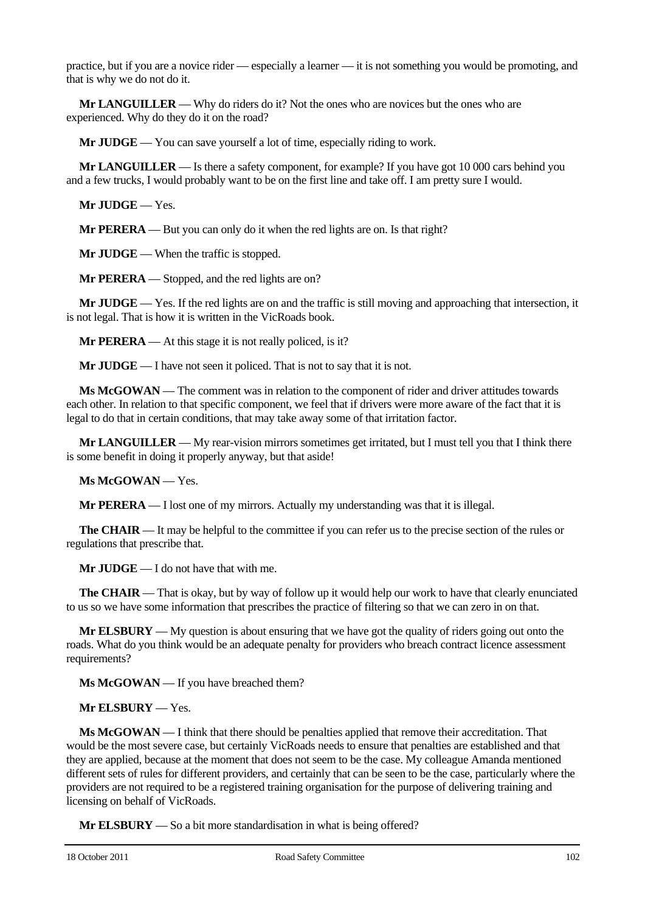practice, but if you are a novice rider — especially a learner — it is not something you would be promoting, and that is why we do not do it.

**Mr LANGUILLER** — Why do riders do it? Not the ones who are novices but the ones who are experienced. Why do they do it on the road?

**Mr JUDGE** — You can save yourself a lot of time, especially riding to work.

**Mr LANGUILLER** — Is there a safety component, for example? If you have got 10 000 cars behind you and a few trucks, I would probably want to be on the first line and take off. I am pretty sure I would.

**Mr JUDGE** — Yes.

**Mr PERERA** — But you can only do it when the red lights are on. Is that right?

**Mr JUDGE** — When the traffic is stopped.

**Mr PERERA** — Stopped, and the red lights are on?

**Mr JUDGE** — Yes. If the red lights are on and the traffic is still moving and approaching that intersection, it is not legal. That is how it is written in the VicRoads book.

**Mr PERERA** — At this stage it is not really policed, is it?

**Mr JUDGE** — I have not seen it policed. That is not to say that it is not.

**Ms McGOWAN** — The comment was in relation to the component of rider and driver attitudes towards each other. In relation to that specific component, we feel that if drivers were more aware of the fact that it is legal to do that in certain conditions, that may take away some of that irritation factor.

**Mr LANGUILLER** — My rear-vision mirrors sometimes get irritated, but I must tell you that I think there is some benefit in doing it properly anyway, but that aside!

**Ms McGOWAN** — Yes.

**Mr PERERA** — I lost one of my mirrors. Actually my understanding was that it is illegal.

**The CHAIR** — It may be helpful to the committee if you can refer us to the precise section of the rules or regulations that prescribe that.

**Mr JUDGE** — I do not have that with me.

**The CHAIR** — That is okay, but by way of follow up it would help our work to have that clearly enunciated to us so we have some information that prescribes the practice of filtering so that we can zero in on that.

**Mr ELSBURY** — My question is about ensuring that we have got the quality of riders going out onto the roads. What do you think would be an adequate penalty for providers who breach contract licence assessment requirements?

**Ms McGOWAN** — If you have breached them?

**Mr ELSBURY** — Yes.

**Ms McGOWAN** — I think that there should be penalties applied that remove their accreditation. That would be the most severe case, but certainly VicRoads needs to ensure that penalties are established and that they are applied, because at the moment that does not seem to be the case. My colleague Amanda mentioned different sets of rules for different providers, and certainly that can be seen to be the case, particularly where the providers are not required to be a registered training organisation for the purpose of delivering training and licensing on behalf of VicRoads.

**Mr ELSBURY** — So a bit more standardisation in what is being offered?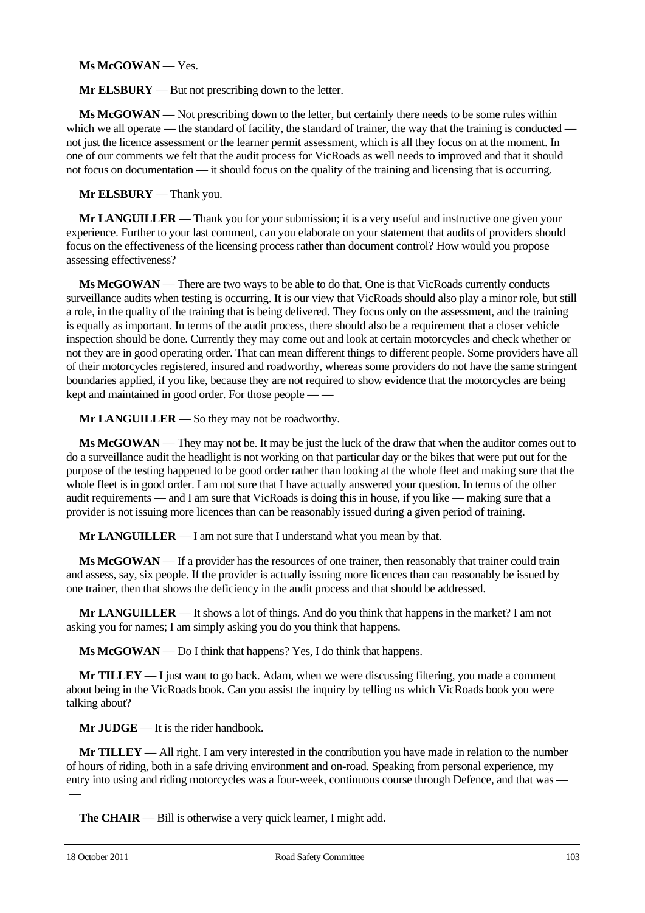#### **Ms McGOWAN** — Yes.

**Mr ELSBURY** — But not prescribing down to the letter.

**Ms McGOWAN** — Not prescribing down to the letter, but certainly there needs to be some rules within which we all operate — the standard of facility, the standard of trainer, the way that the training is conducted not just the licence assessment or the learner permit assessment, which is all they focus on at the moment. In one of our comments we felt that the audit process for VicRoads as well needs to improved and that it should not focus on documentation — it should focus on the quality of the training and licensing that is occurring.

#### **Mr ELSBURY** — Thank you.

**Mr LANGUILLER** — Thank you for your submission; it is a very useful and instructive one given your experience. Further to your last comment, can you elaborate on your statement that audits of providers should focus on the effectiveness of the licensing process rather than document control? How would you propose assessing effectiveness?

**Ms McGOWAN** — There are two ways to be able to do that. One is that VicRoads currently conducts surveillance audits when testing is occurring. It is our view that VicRoads should also play a minor role, but still a role, in the quality of the training that is being delivered. They focus only on the assessment, and the training is equally as important. In terms of the audit process, there should also be a requirement that a closer vehicle inspection should be done. Currently they may come out and look at certain motorcycles and check whether or not they are in good operating order. That can mean different things to different people. Some providers have all of their motorcycles registered, insured and roadworthy, whereas some providers do not have the same stringent boundaries applied, if you like, because they are not required to show evidence that the motorcycles are being kept and maintained in good order. For those people — —

**Mr LANGUILLER** — So they may not be roadworthy.

**Ms McGOWAN** — They may not be. It may be just the luck of the draw that when the auditor comes out to do a surveillance audit the headlight is not working on that particular day or the bikes that were put out for the purpose of the testing happened to be good order rather than looking at the whole fleet and making sure that the whole fleet is in good order. I am not sure that I have actually answered your question. In terms of the other audit requirements — and I am sure that VicRoads is doing this in house, if you like — making sure that a provider is not issuing more licences than can be reasonably issued during a given period of training.

**Mr LANGUILLER** — I am not sure that I understand what you mean by that.

**Ms McGOWAN** — If a provider has the resources of one trainer, then reasonably that trainer could train and assess, say, six people. If the provider is actually issuing more licences than can reasonably be issued by one trainer, then that shows the deficiency in the audit process and that should be addressed.

**Mr LANGUILLER** — It shows a lot of things. And do you think that happens in the market? I am not asking you for names; I am simply asking you do you think that happens.

**Ms McGOWAN** — Do I think that happens? Yes, I do think that happens.

**Mr TILLEY** — I just want to go back. Adam, when we were discussing filtering, you made a comment about being in the VicRoads book. Can you assist the inquiry by telling us which VicRoads book you were talking about?

**Mr JUDGE** — It is the rider handbook.

**Mr TILLEY** — All right. I am very interested in the contribution you have made in relation to the number of hours of riding, both in a safe driving environment and on-road. Speaking from personal experience, my entry into using and riding motorcycles was a four-week, continuous course through Defence, and that was —  $\overline{\phantom{0}}$ 

**The CHAIR** — Bill is otherwise a very quick learner, I might add.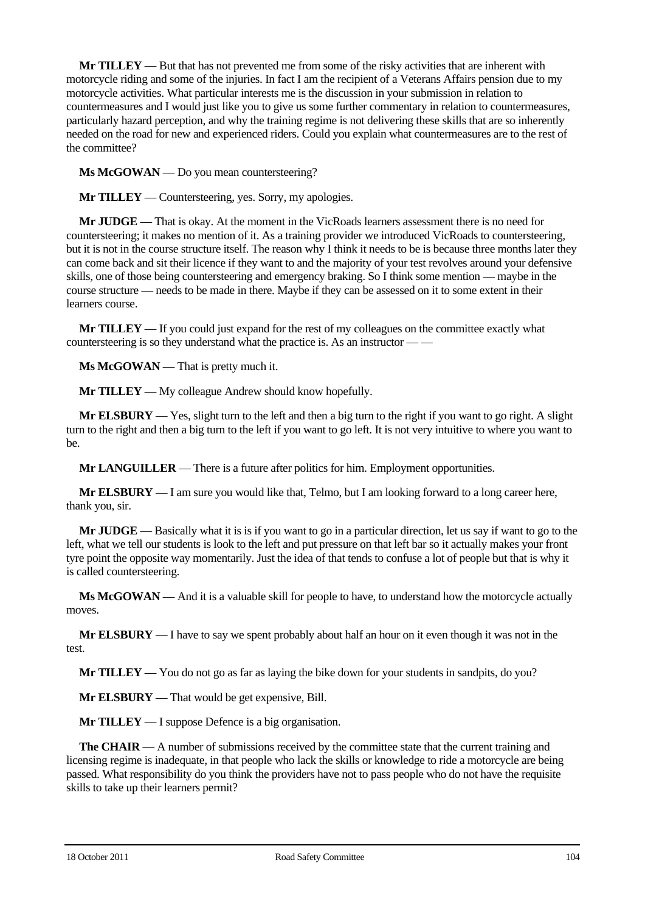**Mr TILLEY** — But that has not prevented me from some of the risky activities that are inherent with motorcycle riding and some of the injuries. In fact I am the recipient of a Veterans Affairs pension due to my motorcycle activities. What particular interests me is the discussion in your submission in relation to countermeasures and I would just like you to give us some further commentary in relation to countermeasures, particularly hazard perception, and why the training regime is not delivering these skills that are so inherently needed on the road for new and experienced riders. Could you explain what countermeasures are to the rest of the committee?

**Ms McGOWAN** — Do you mean countersteering?

**Mr TILLEY** — Countersteering, yes. Sorry, my apologies.

**Mr JUDGE** — That is okay. At the moment in the VicRoads learners assessment there is no need for countersteering; it makes no mention of it. As a training provider we introduced VicRoads to countersteering, but it is not in the course structure itself. The reason why I think it needs to be is because three months later they can come back and sit their licence if they want to and the majority of your test revolves around your defensive skills, one of those being countersteering and emergency braking. So I think some mention — maybe in the course structure — needs to be made in there. Maybe if they can be assessed on it to some extent in their learners course.

**Mr TILLEY** — If you could just expand for the rest of my colleagues on the committee exactly what countersteering is so they understand what the practice is. As an instructor — —

**Ms McGOWAN** — That is pretty much it.

**Mr TILLEY** — My colleague Andrew should know hopefully.

**Mr ELSBURY** — Yes, slight turn to the left and then a big turn to the right if you want to go right. A slight turn to the right and then a big turn to the left if you want to go left. It is not very intuitive to where you want to be.

**Mr LANGUILLER** — There is a future after politics for him. Employment opportunities.

**Mr ELSBURY** — I am sure you would like that, Telmo, but I am looking forward to a long career here, thank you, sir.

**Mr JUDGE** — Basically what it is is if you want to go in a particular direction, let us say if want to go to the left, what we tell our students is look to the left and put pressure on that left bar so it actually makes your front tyre point the opposite way momentarily. Just the idea of that tends to confuse a lot of people but that is why it is called countersteering.

**Ms McGOWAN** — And it is a valuable skill for people to have, to understand how the motorcycle actually moves.

**Mr ELSBURY** — I have to say we spent probably about half an hour on it even though it was not in the test.

**Mr TILLEY** — You do not go as far as laying the bike down for your students in sandpits, do you?

**Mr ELSBURY** — That would be get expensive, Bill.

**Mr TILLEY** — I suppose Defence is a big organisation.

**The CHAIR** — A number of submissions received by the committee state that the current training and licensing regime is inadequate, in that people who lack the skills or knowledge to ride a motorcycle are being passed. What responsibility do you think the providers have not to pass people who do not have the requisite skills to take up their learners permit?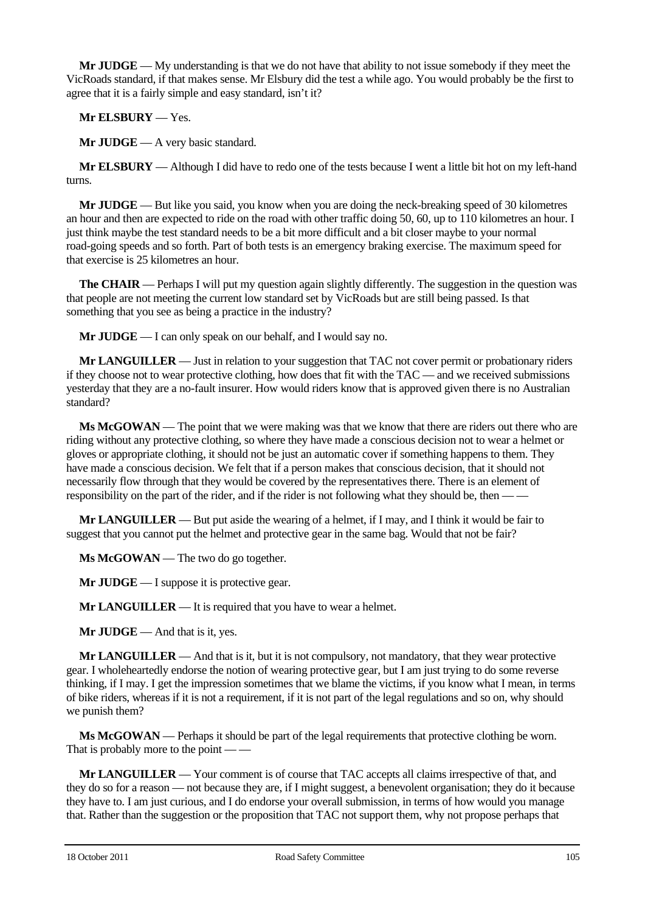**Mr JUDGE** — My understanding is that we do not have that ability to not issue somebody if they meet the VicRoads standard, if that makes sense. Mr Elsbury did the test a while ago. You would probably be the first to agree that it is a fairly simple and easy standard, isn't it?

**Mr ELSBURY** — Yes.

**Mr JUDGE** — A very basic standard.

**Mr ELSBURY** — Although I did have to redo one of the tests because I went a little bit hot on my left-hand turns.

**Mr JUDGE** — But like you said, you know when you are doing the neck-breaking speed of 30 kilometres an hour and then are expected to ride on the road with other traffic doing 50, 60, up to 110 kilometres an hour. I just think maybe the test standard needs to be a bit more difficult and a bit closer maybe to your normal road-going speeds and so forth. Part of both tests is an emergency braking exercise. The maximum speed for that exercise is 25 kilometres an hour.

**The <b>CHAIR** — Perhaps I will put my question again slightly differently. The suggestion in the question was that people are not meeting the current low standard set by VicRoads but are still being passed. Is that something that you see as being a practice in the industry?

**Mr JUDGE** — I can only speak on our behalf, and I would say no.

**Mr LANGUILLER** — Just in relation to your suggestion that TAC not cover permit or probationary riders if they choose not to wear protective clothing, how does that fit with the TAC — and we received submissions yesterday that they are a no-fault insurer. How would riders know that is approved given there is no Australian standard?

**Ms McGOWAN** — The point that we were making was that we know that there are riders out there who are riding without any protective clothing, so where they have made a conscious decision not to wear a helmet or gloves or appropriate clothing, it should not be just an automatic cover if something happens to them. They have made a conscious decision. We felt that if a person makes that conscious decision, that it should not necessarily flow through that they would be covered by the representatives there. There is an element of responsibility on the part of the rider, and if the rider is not following what they should be, then — —

**Mr LANGUILLER** — But put aside the wearing of a helmet, if I may, and I think it would be fair to suggest that you cannot put the helmet and protective gear in the same bag. Would that not be fair?

**Ms McGOWAN** — The two do go together.

**Mr JUDGE** — I suppose it is protective gear.

**Mr LANGUILLER** — It is required that you have to wear a helmet.

**Mr JUDGE** — And that is it, yes.

**Mr LANGUILLER** — And that is it, but it is not compulsory, not mandatory, that they wear protective gear. I wholeheartedly endorse the notion of wearing protective gear, but I am just trying to do some reverse thinking, if I may. I get the impression sometimes that we blame the victims, if you know what I mean, in terms of bike riders, whereas if it is not a requirement, if it is not part of the legal regulations and so on, why should we punish them?

**Ms McGOWAN** — Perhaps it should be part of the legal requirements that protective clothing be worn. That is probably more to the point — —

**Mr LANGUILLER** — Your comment is of course that TAC accepts all claims irrespective of that, and they do so for a reason — not because they are, if I might suggest, a benevolent organisation; they do it because they have to. I am just curious, and I do endorse your overall submission, in terms of how would you manage that. Rather than the suggestion or the proposition that TAC not support them, why not propose perhaps that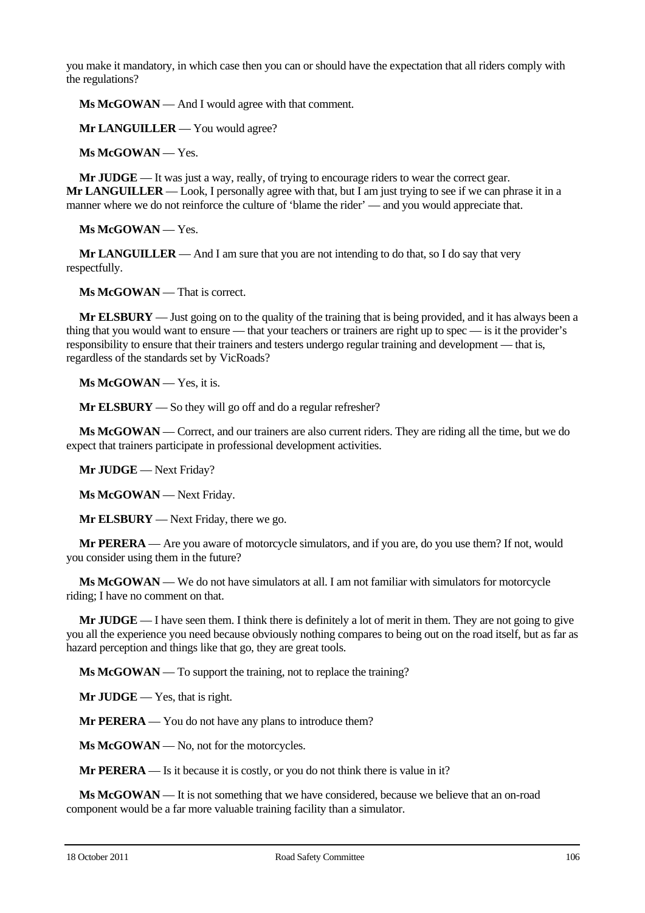you make it mandatory, in which case then you can or should have the expectation that all riders comply with the regulations?

**Ms McGOWAN** — And I would agree with that comment.

**Mr LANGUILLER** — You would agree?

**Ms McGOWAN** — Yes.

**Mr JUDGE** — It was just a way, really, of trying to encourage riders to wear the correct gear. **Mr LANGUILLER** — Look, I personally agree with that, but I am just trying to see if we can phrase it in a manner where we do not reinforce the culture of 'blame the rider' — and you would appreciate that.

**Ms McGOWAN** — Yes.

**Mr LANGUILLER** — And I am sure that you are not intending to do that, so I do say that very respectfully.

**Ms McGOWAN** — That is correct.

**Mr ELSBURY** — Just going on to the quality of the training that is being provided, and it has always been a thing that you would want to ensure — that your teachers or trainers are right up to spec — is it the provider's responsibility to ensure that their trainers and testers undergo regular training and development — that is, regardless of the standards set by VicRoads?

**Ms McGOWAN** — Yes, it is.

**Mr ELSBURY** — So they will go off and do a regular refresher?

**Ms McGOWAN** — Correct, and our trainers are also current riders. They are riding all the time, but we do expect that trainers participate in professional development activities.

**Mr JUDGE** — Next Friday?

**Ms McGOWAN** — Next Friday.

**Mr ELSBURY** — Next Friday, there we go.

**Mr PERERA** — Are you aware of motorcycle simulators, and if you are, do you use them? If not, would you consider using them in the future?

**Ms McGOWAN** — We do not have simulators at all. I am not familiar with simulators for motorcycle riding; I have no comment on that.

**Mr JUDGE** — I have seen them. I think there is definitely a lot of merit in them. They are not going to give you all the experience you need because obviously nothing compares to being out on the road itself, but as far as hazard perception and things like that go, they are great tools.

**Ms McGOWAN** — To support the training, not to replace the training?

**Mr JUDGE** — Yes, that is right.

**Mr PERERA** — You do not have any plans to introduce them?

**Ms McGOWAN** — No, not for the motorcycles.

**Mr PERERA** — Is it because it is costly, or you do not think there is value in it?

**Ms McGOWAN** — It is not something that we have considered, because we believe that an on-road component would be a far more valuable training facility than a simulator.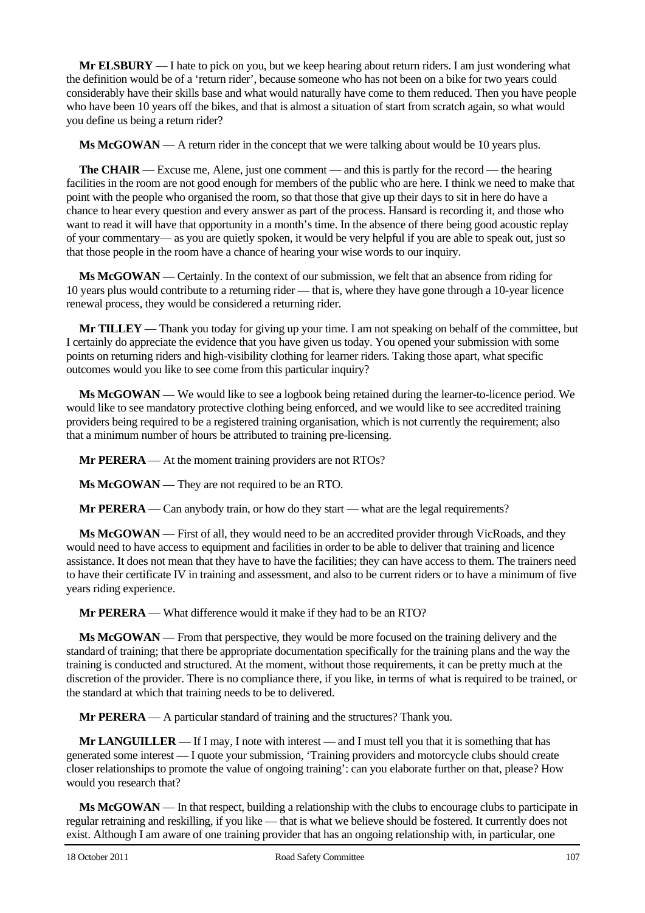**Mr ELSBURY** — I hate to pick on you, but we keep hearing about return riders. I am just wondering what the definition would be of a 'return rider', because someone who has not been on a bike for two years could considerably have their skills base and what would naturally have come to them reduced. Then you have people who have been 10 years off the bikes, and that is almost a situation of start from scratch again, so what would you define us being a return rider?

**Ms McGOWAN** — A return rider in the concept that we were talking about would be 10 years plus.

**The CHAIR** — Excuse me, Alene, just one comment — and this is partly for the record — the hearing facilities in the room are not good enough for members of the public who are here. I think we need to make that point with the people who organised the room, so that those that give up their days to sit in here do have a chance to hear every question and every answer as part of the process. Hansard is recording it, and those who want to read it will have that opportunity in a month's time. In the absence of there being good acoustic replay of your commentary— as you are quietly spoken, it would be very helpful if you are able to speak out, just so that those people in the room have a chance of hearing your wise words to our inquiry.

**Ms McGOWAN** — Certainly. In the context of our submission, we felt that an absence from riding for 10 years plus would contribute to a returning rider — that is, where they have gone through a 10-year licence renewal process, they would be considered a returning rider.

**Mr TILLEY** — Thank you today for giving up your time. I am not speaking on behalf of the committee, but I certainly do appreciate the evidence that you have given us today. You opened your submission with some points on returning riders and high-visibility clothing for learner riders. Taking those apart, what specific outcomes would you like to see come from this particular inquiry?

**Ms McGOWAN** — We would like to see a logbook being retained during the learner-to-licence period. We would like to see mandatory protective clothing being enforced, and we would like to see accredited training providers being required to be a registered training organisation, which is not currently the requirement; also that a minimum number of hours be attributed to training pre-licensing.

**Mr PERERA** — At the moment training providers are not RTOs?

**Ms McGOWAN** — They are not required to be an RTO.

**Mr PERERA** — Can anybody train, or how do they start — what are the legal requirements?

**Ms McGOWAN** — First of all, they would need to be an accredited provider through VicRoads, and they would need to have access to equipment and facilities in order to be able to deliver that training and licence assistance. It does not mean that they have to have the facilities; they can have access to them. The trainers need to have their certificate IV in training and assessment, and also to be current riders or to have a minimum of five years riding experience.

**Mr PERERA** — What difference would it make if they had to be an RTO?

**Ms McGOWAN** — From that perspective, they would be more focused on the training delivery and the standard of training; that there be appropriate documentation specifically for the training plans and the way the training is conducted and structured. At the moment, without those requirements, it can be pretty much at the discretion of the provider. There is no compliance there, if you like, in terms of what is required to be trained, or the standard at which that training needs to be to delivered.

**Mr PERERA** — A particular standard of training and the structures? Thank you.

**Mr LANGUILLER** — If I may, I note with interest — and I must tell you that it is something that has generated some interest — I quote your submission, 'Training providers and motorcycle clubs should create closer relationships to promote the value of ongoing training': can you elaborate further on that, please? How would you research that?

**Ms McGOWAN** — In that respect, building a relationship with the clubs to encourage clubs to participate in regular retraining and reskilling, if you like — that is what we believe should be fostered. It currently does not exist. Although I am aware of one training provider that has an ongoing relationship with, in particular, one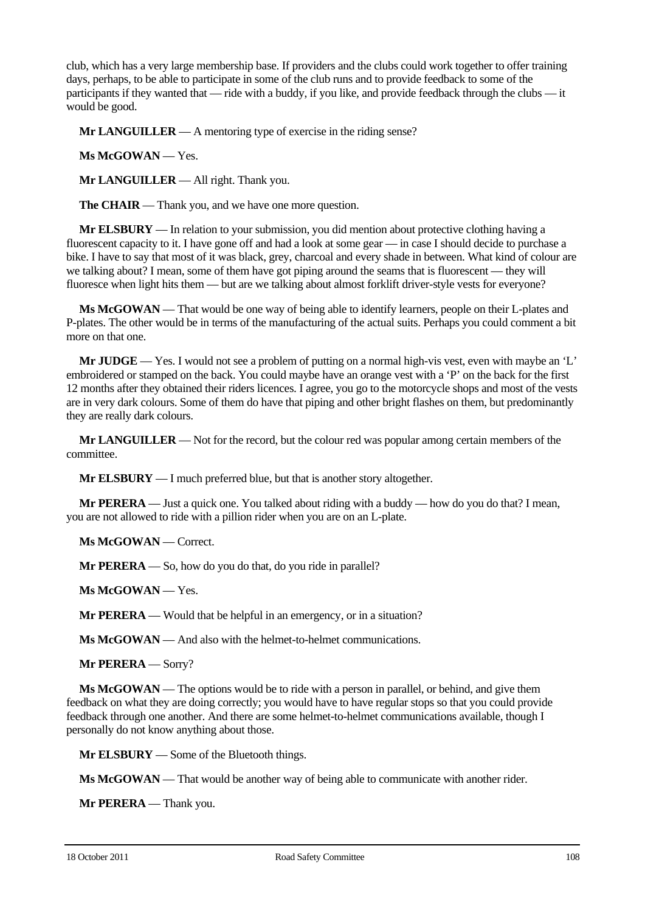club, which has a very large membership base. If providers and the clubs could work together to offer training days, perhaps, to be able to participate in some of the club runs and to provide feedback to some of the participants if they wanted that — ride with a buddy, if you like, and provide feedback through the clubs — it would be good.

**Mr LANGUILLER** — A mentoring type of exercise in the riding sense?

**Ms McGOWAN** — Yes.

**Mr LANGUILLER** — All right. Thank you.

**The CHAIR** — Thank you, and we have one more question.

**Mr ELSBURY** — In relation to your submission, you did mention about protective clothing having a fluorescent capacity to it. I have gone off and had a look at some gear — in case I should decide to purchase a bike. I have to say that most of it was black, grey, charcoal and every shade in between. What kind of colour are we talking about? I mean, some of them have got piping around the seams that is fluorescent — they will fluoresce when light hits them — but are we talking about almost forklift driver-style vests for everyone?

**Ms McGOWAN** — That would be one way of being able to identify learners, people on their L-plates and P-plates. The other would be in terms of the manufacturing of the actual suits. Perhaps you could comment a bit more on that one.

**Mr JUDGE** — Yes. I would not see a problem of putting on a normal high-vis vest, even with maybe an 'L' embroidered or stamped on the back. You could maybe have an orange vest with a 'P' on the back for the first 12 months after they obtained their riders licences. I agree, you go to the motorcycle shops and most of the vests are in very dark colours. Some of them do have that piping and other bright flashes on them, but predominantly they are really dark colours.

**Mr LANGUILLER** — Not for the record, but the colour red was popular among certain members of the committee.

**Mr ELSBURY** — I much preferred blue, but that is another story altogether.

**Mr PERERA** — Just a quick one. You talked about riding with a buddy — how do you do that? I mean, you are not allowed to ride with a pillion rider when you are on an L-plate.

**Ms McGOWAN** — Correct.

**Mr PERERA** — So, how do you do that, do you ride in parallel?

**Ms McGOWAN** — Yes.

**Mr PERERA** — Would that be helpful in an emergency, or in a situation?

**Ms McGOWAN** — And also with the helmet-to-helmet communications.

**Mr PERERA** — Sorry?

**Ms McGOWAN** — The options would be to ride with a person in parallel, or behind, and give them feedback on what they are doing correctly; you would have to have regular stops so that you could provide feedback through one another. And there are some helmet-to-helmet communications available, though I personally do not know anything about those.

**Mr ELSBURY** — Some of the Bluetooth things.

**Ms McGOWAN** — That would be another way of being able to communicate with another rider.

**Mr PERERA** — Thank you.